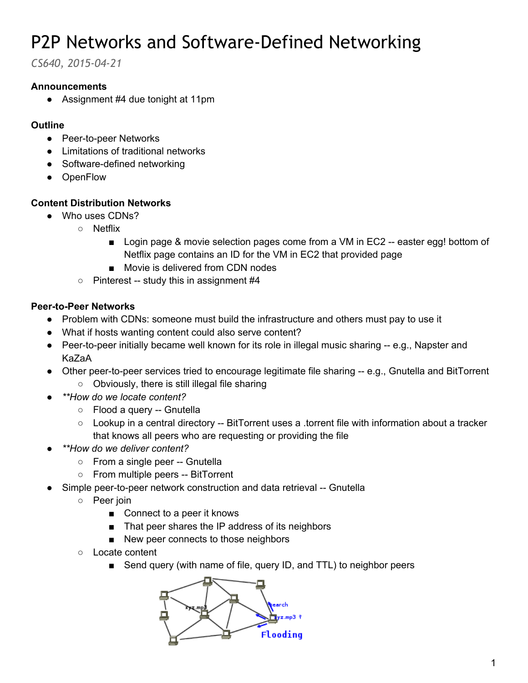# P2P Networks and Software-Defined Networking

*CS640, 2015-04-21*

### **Announcements**

● Assignment #4 due tonight at 11pm

#### **Outline**

- Peer-to-peer Networks
- Limitations of traditional networks
- Software-defined networking
- OpenFlow

### **Content Distribution Networks**

- Who uses CDNs?
	- Netflix
		- Login page & movie selection pages come from a VM in EC2 -- easter egg! bottom of Netflix page contains an ID for the VM in EC2 that provided page
		- Movie is delivered from CDN nodes
	- $\circ$  Pinterest -- study this in assignment #4

### **Peer-to-Peer Networks**

- Problem with CDNs: someone must build the infrastructure and others must pay to use it
- What if hosts wanting content could also serve content?
- Peer-to-peer initially became well known for its role in illegal music sharing -- e.g., Napster and KaZaA
- Other peer-to-peer services tried to encourage legitimate file sharing -- e.g., Gnutella and BitTorrent ○ Obviously, there is still illegal file sharing
- *● \*\*How do we locate content?*
	- $\circ$  Flood a query -- Gnutella
	- Lookup in a central directory -- BitTorrent uses a .torrent file with information about a tracker that knows all peers who are requesting or providing the file
- *● \*\*How do we deliver content?*
	- o From a single peer -- Gnutella
	- From multiple peers -- BitTorrent
- Simple peer-to-peer network construction and data retrieval -- Gnutella
	- Peer join
		- Connect to a peer it knows
		- That peer shares the IP address of its neighbors
		- New peer connects to those neighbors
	- Locate content
		- Send query (with name of file, query ID, and TTL) to neighbor peers

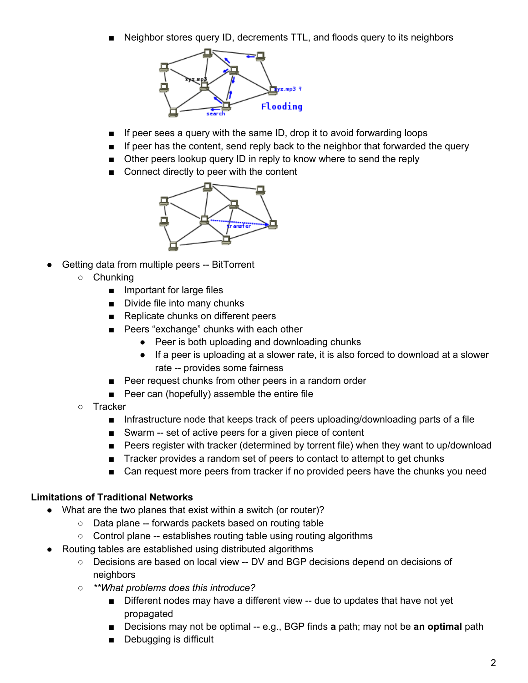Neighbor stores query ID, decrements TTL, and floods query to its neighbors



- If peer sees a query with the same ID, drop it to avoid forwarding loops
- If peer has the content, send reply back to the neighbor that forwarded the query
- Other peers lookup query ID in reply to know where to send the reply
- Connect directly to peer with the content



- Getting data from multiple peers -- BitTorrent
	- Chunking
		- Important for large files
		- Divide file into many chunks
		- Replicate chunks on different peers
		- Peers "exchange" chunks with each other
			- Peer is both uploading and downloading chunks
			- If a peer is uploading at a slower rate, it is also forced to download at a slower rate -- provides some fairness
		- Peer request chunks from other peers in a random order
		- Peer can (hopefully) assemble the entire file
	- Tracker
		- Infrastructure node that keeps track of peers uploading/downloading parts of a file
		- Swarm -- set of active peers for a given piece of content
		- Peers register with tracker (determined by torrent file) when they want to up/download
		- Tracker provides a random set of peers to contact to attempt to get chunks
		- Can request more peers from tracker if no provided peers have the chunks you need

#### **Limitations of Traditional Networks**

- What are the two planes that exist within a switch (or router)?
	- Data plane forwards packets based on routing table
	- Control plane -- establishes routing table using routing algorithms
- Routing tables are established using distributed algorithms
	- Decisions are based on local view -- DV and BGP decisions depend on decisions of **neighbors**
	- *○ \*\*What problems does this introduce?*
		- Different nodes may have a different view -- due to updates that have not yet propagated
		- Decisions may not be optimal -- e.g., BGP finds **a** path; may not be **an optimal** path
		- Debugging is difficult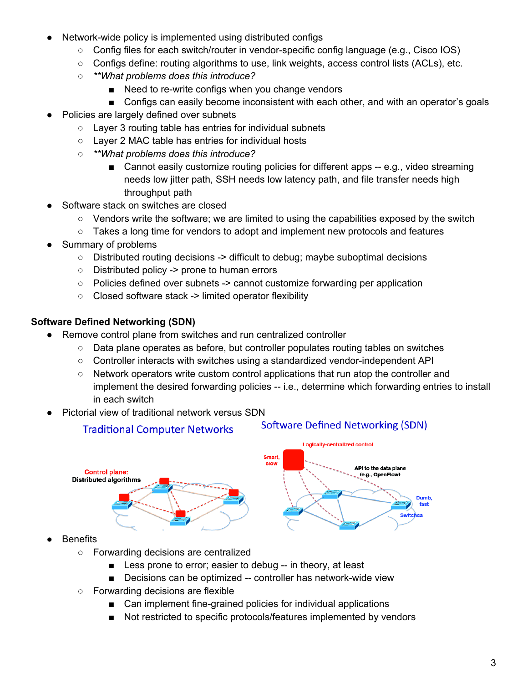- Network-wide policy is implemented using distributed configs
	- Config files for each switch/router in vendorspecific config language (e.g., Cisco IOS)
	- $\circ$  Configs define: routing algorithms to use, link weights, access control lists (ACLs), etc.
	- *○ \*\*What problems does this introduce?*
		- Need to re-write configs when you change vendors
		- Configs can easily become inconsistent with each other, and with an operator's goals
- Policies are largely defined over subnets
	- Layer 3 routing table has entries for individual subnets
	- Layer 2 MAC table has entries for individual hosts
	- *○ \*\*What problems does this introduce?*
		- Cannot easily customize routing policies for different apps -- e.g., video streaming needs low jitter path, SSH needs low latency path, and file transfer needs high throughput path
- Software stack on switches are closed
	- Vendors write the software; we are limited to using the capabilities exposed by the switch
	- Takes a long time for vendors to adopt and implement new protocols and features
- Summary of problems
	- $\circ$  Distributed routing decisions  $\geq$  difficult to debug; maybe suboptimal decisions
	- Distributed policy > prone to human errors
	- Policies defined over subnets > cannot customize forwarding per application
	- Closed software stack > limited operator flexibility

### **Software Defined Networking (SDN)**

- Remove control plane from switches and run centralized controller
	- Data plane operates as before, but controller populates routing tables on switches
	- Controller interacts with switches using a standardized vendor-independent API
	- Network operators write custom control applications that run atop the controller and implement the desired forwarding policies -- i.e., determine which forwarding entries to install in each switch
- Pictorial view of traditional network versus SDN

### **Traditional Computer Networks**

#### **Software Defined Networking (SDN)**



- **Benefits** 
	- Forwarding decisions are centralized
		- Less prone to error; easier to debug -- in theory, at least
		- Decisions can be optimized -- controller has network-wide view
	- Forwarding decisions are flexible
		- Can implement fine-grained policies for individual applications
		- Not restricted to specific protocols/features implemented by vendors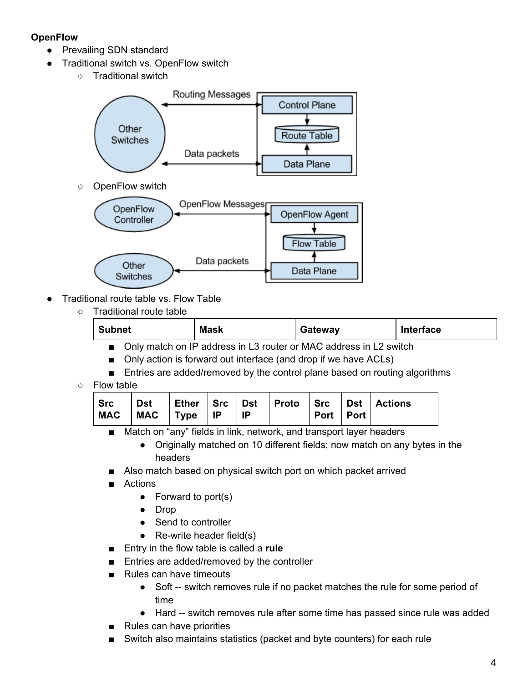## **OpenFlow**

- Prevailing SDN standard
- Traditional switch vs. OpenFlow switch
	- Traditional switch





- Traditional route table vs. Flow Table
	- Traditional route table

| <b>Subnet</b>                                                                   | Maek | atewayر                                                                                   | <b>Interface</b> |
|---------------------------------------------------------------------------------|------|-------------------------------------------------------------------------------------------|------------------|
| the contract of the contract of the contract of the contract of the contract of |      | the control of the control of the control of the control of the control of the control of |                  |

- Only match on IP address in L3 router or MAC address in L2 switch
- Only action is forward out interface (and drop if we have ACLs)
- Entries are added/removed by the control plane based on routing algorithms
- Flow table

| Dst   Ether   Src   Dst   Proto   Src   Dst   Actions<br>$\mid$ Src<br>$MAC$ $MAC$ $Type$ $IP$ | -IP | Port Port |  |
|------------------------------------------------------------------------------------------------|-----|-----------|--|
|------------------------------------------------------------------------------------------------|-----|-----------|--|

- Match on "any" fields in link, network, and transport layer headers
	- Originally matched on 10 different fields; now match on any bytes in the headers
- Also match based on physical switch port on which packet arrived
- **Actions** 
	- Forward to port(s)
	- Drop
	- Send to controller
	- $\bullet$  Re-write header field(s)
- Entry in the flow table is called a **rule**
- Entries are added/removed by the controller
- Rules can have timeouts
	- Soft -- switch removes rule if no packet matches the rule for some period of time
	- Hard -- switch removes rule after some time has passed since rule was added
- Rules can have priorities
- Switch also maintains statistics (packet and byte counters) for each rule